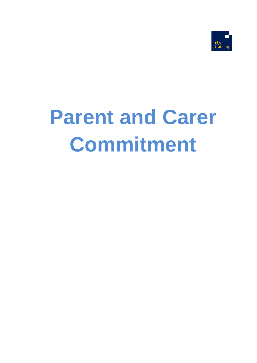

# **Parent and Carer Commitment**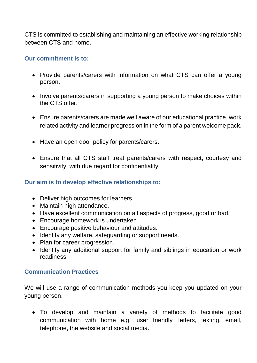CTS is committed to establishing and maintaining an effective working relationship between CTS and home.

## **Our commitment is to:**

- Provide parents/carers with information on what CTS can offer a young person.
- Involve parents/carers in supporting a young person to make choices within the CTS offer.
- Ensure parents/carers are made well aware of our educational practice, work related activity and learner progression in the form of a parent welcome pack.
- Have an open door policy for parents/carers.
- Ensure that all CTS staff treat parents/carers with respect, courtesy and sensitivity, with due regard for confidentiality.

## **Our aim is to develop effective relationships to:**

- Deliver high outcomes for learners.
- Maintain high attendance.
- Have excellent communication on all aspects of progress, good or bad.
- Encourage homework is undertaken.
- Encourage positive behaviour and attitudes.
- Identify any welfare, safeguarding or support needs.
- Plan for career progression.
- Identify any additional support for family and siblings in education or work readiness.

### **Communication Practices**

We will use a range of communication methods you keep you updated on your young person.

• To develop and maintain a variety of methods to facilitate good communication with home e.g. 'user friendly' letters, texting, email, telephone, the website and social media.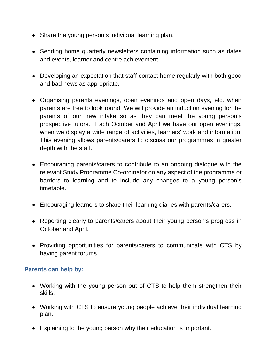- Share the young person's individual learning plan.
- Sending home quarterly newsletters containing information such as dates and events, learner and centre achievement.
- Developing an expectation that staff contact home regularly with both good and bad news as appropriate.
- Organising parents evenings, open evenings and open days, etc. when parents are free to look round. We will provide an induction evening for the parents of our new intake so as they can meet the young person's prospective tutors. Each October and April we have our open evenings, when we display a wide range of activities, learners' work and information. This evening allows parents/carers to discuss our programmes in greater depth with the staff.
- Encouraging parents/carers to contribute to an ongoing dialogue with the relevant Study Programme Co-ordinator on any aspect of the programme or barriers to learning and to include any changes to a young person's timetable.
- Encouraging learners to share their learning diaries with parents/carers.
- Reporting clearly to parents/carers about their young person's progress in October and April.
- Providing opportunities for parents/carers to communicate with CTS by having parent forums.

### **Parents can help by:**

- Working with the young person out of CTS to help them strengthen their skills.
- Working with CTS to ensure young people achieve their individual learning plan.
- Explaining to the young person why their education is important.